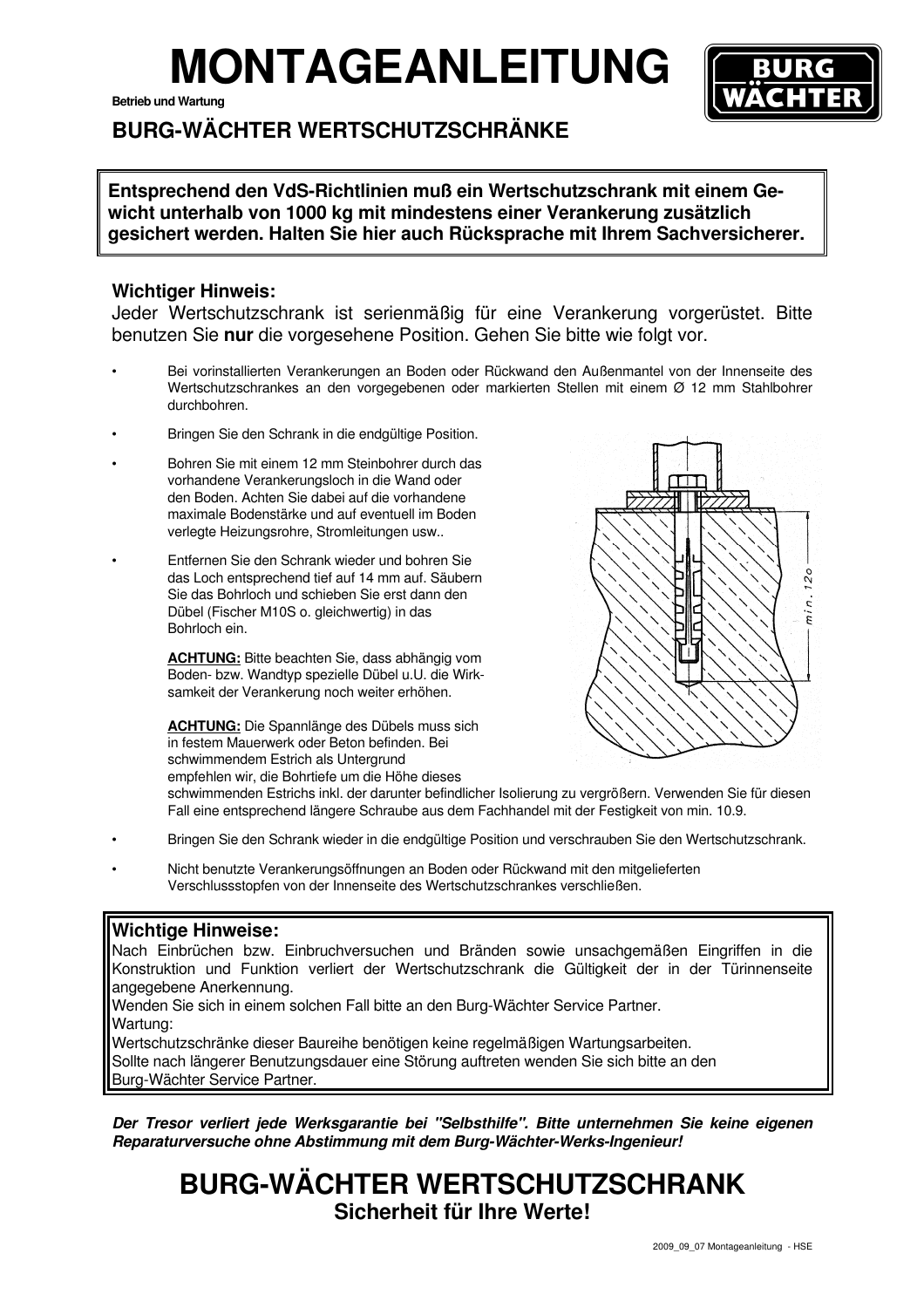## **MONTAGEANLEITUNG**

**Betrieb und Wartung** 



### **BURG-WÄCHTER WERTSCHUTZSCHRÄNKE**

**Entsprechend den VdS-Richtlinien muß ein Wertschutzschrank mit einem Gewicht unterhalb von 1000 kg mit mindestens einer Verankerung zusätzlich gesichert werden. Halten Sie hier auch Rücksprache mit Ihrem Sachversicherer.**

#### **Wichtiger Hinweis:**

Jeder Wertschutzschrank ist serienmäßig für eine Verankerung vorgerüstet. Bitte benutzen Sie **nur** die vorgesehene Position. Gehen Sie bitte wie folgt vor.

- Bei vorinstallierten Verankerungen an Boden oder Rückwand den Außenmantel von der Innenseite des Wertschutzschrankes an den vorgegebenen oder markierten Stellen mit einem Ø 12 mm Stahlbohrer durchbohren.
- Bringen Sie den Schrank in die endgültige Position.
- Bohren Sie mit einem 12 mm Steinbohrer durch das vorhandene Verankerungsloch in die Wand oder den Boden. Achten Sie dabei auf die vorhandene maximale Bodenstärke und auf eventuell im Boden verlegte Heizungsrohre, Stromleitungen usw..
- Entfernen Sie den Schrank wieder und bohren Sie das Loch entsprechend tief auf 14 mm auf. Säubern Sie das Bohrloch und schieben Sie erst dann den Dübel (Fischer M10S o. gleichwertig) in das Bohrloch ein.

**ACHTUNG:** Bitte beachten Sie, dass abhängig vom Boden- bzw. Wandtyp spezielle Dübel u.U. die Wirk samkeit der Verankerung noch weiter erhöhen.

**ACHTUNG:** Die Spannlänge des Dübels muss sich in festem Mauerwerk oder Beton befinden. Bei schwimmendem Estrich als Untergrund empfehlen wir, die Bohrtiefe um die Höhe dieses



schwimmenden Estrichs inkl. der darunter befindlicher Isolierung zu vergrößern. Verwenden Sie für diesen Fall eine entsprechend längere Schraube aus dem Fachhandel mit der Festigkeit von min. 10.9.

- Bringen Sie den Schrank wieder in die endgültige Position und verschrauben Sie den Wertschutzschrank.
- Nicht benutzte Verankerungsöffnungen an Boden oder Rückwand mit den mitgelieferten Verschlussstopfen von der Innenseite des Wertschutzschrankes verschließen.

#### **Wichtige Hinweise:**

Nach Einbrüchen bzw. Einbruchversuchen und Bränden sowie unsachgemäßen Eingriffen in die Konstruktion und Funktion verliert der Wertschutzschrank die Gültigkeit der in der Türinnenseite angegebene Anerkennung.

Wenden Sie sich in einem solchen Fall bitte an den Burg-Wächter Service Partner. Wartung: Wertschutzschränke dieser Baureihe benötigen keine regelmäßigen Wartungsarbeiten.

Sollte nach längerer Benutzungsdauer eine Störung auftreten wenden Sie sich bitte an den Burg-Wächter Service Partner.

**Der Tresor verliert jede Werksgarantie bei "Selbsthilfe". Bitte unternehmen Sie keine eigenen Reparaturversuche ohne Abstimmung mit dem Burg-Wächter-Werks-Ingenieur!**

## **BURG-WÄCHTER WERTSCHUTZSCHRANK Sicherheit für Ihre Werte!**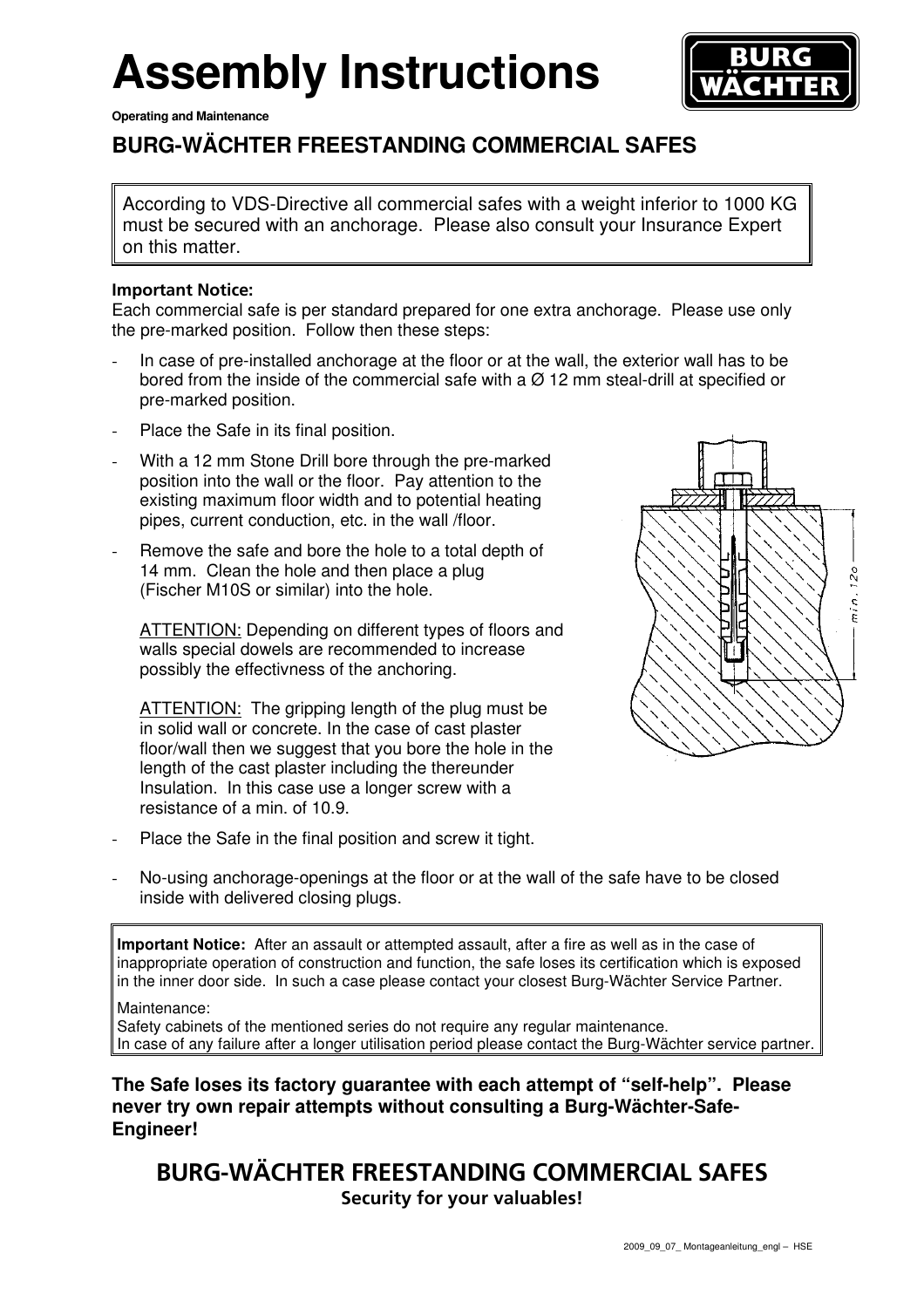# **Assembly Instructions**

**Operating and Maintenance** 



### **BURG-WÄCHTER FREESTANDING COMMERCIAL SAFES**

According to VDS-Directive all commercial safes with a weight inferior to 1000 KG must be secured with an anchorage. Please also consult your Insurance Expert on this matter.

#### **Important Notice:**

Each commercial safe is per standard prepared for one extra anchorage. Please use only the pre-marked position. Follow then these steps:

- In case of pre-installed anchorage at the floor or at the wall, the exterior wall has to be bored from the inside of the commercial safe with a  $\varnothing$  12 mm steal-drill at specified or pre-marked position.
- Place the Safe in its final position.
- With a 12 mm Stone Drill bore through the pre-marked position into the wall or the floor. Pay attention to the existing maximum floor width and to potential heating pipes, current conduction, etc. in the wall /floor.
- Remove the safe and bore the hole to a total depth of 14 mm. Clean the hole and then place a plug (Fischer M10S or similar) into the hole.

ATTENTION: Depending on different types of floors and walls special dowels are recommended to increase possibly the effectivness of the anchoring.

ATTENTION: The gripping length of the plug must be in solid wall or concrete. In the case of cast plaster floor/wall then we suggest that you bore the hole in the length of the cast plaster including the thereunder Insulation. In this case use a longer screw with a resistance of a min. of 10.9.

Place the Safe in the final position and screw it tight.



No-using anchorage-openings at the floor or at the wall of the safe have to be closed inside with delivered closing plugs.

**Important Notice:** After an assault or attempted assault, after a fire as well as in the case of inappropriate operation of construction and function, the safe loses its certification which is exposed in the inner door side. In such a case please contact your closest Burg-Wächter Service Partner.

Maintenance:

Safety cabinets of the mentioned series do not require any regular maintenance. In case of any failure after a longer utilisation period please contact the Burg-Wächter service partner.

**The Safe loses its factory guarantee with each attempt of "self-help". Please never try own repair attempts without consulting a Burg-Wächter-Safe-Engineer!** 

### **BURG-WÄCHTER FREESTANDING COMMERCIAL SAFES Security for your valuables!**